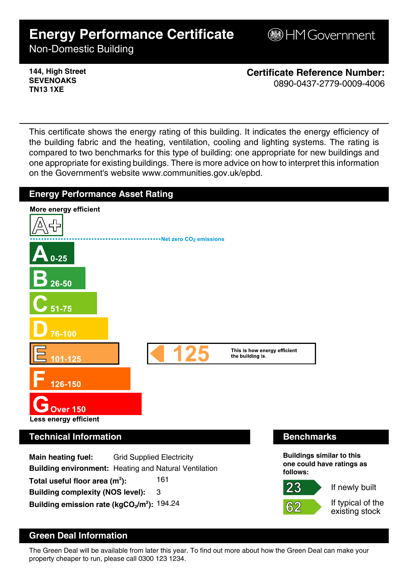# **Energy Performance Certificate**

**B**HM Government

Non-Domestic Building

**144, High Street SEVENOAKS TN13 1XE**

**Certificate Reference Number:** 0890-0437-2779-0009-4006

This certificate shows the energy rating of this building. It indicates the energy efficiency of the building fabric and the heating, ventilation, cooling and lighting systems. The rating is compared to two benchmarks for this type of building: one appropriate for new buildings and one appropriate for existing buildings. There is more advice on how to interpret this information on the Government's website www.communities.gov.uk/epbd.



## **Green Deal Information**

The Green Deal will be available from later this year. To find out more about how the Green Deal can make your property cheaper to run, please call 0300 123 1234.